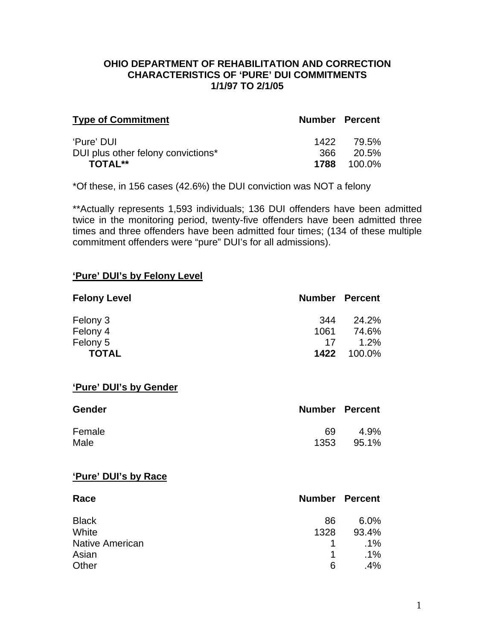#### **OHIO DEPARTMENT OF REHABILITATION AND CORRECTION CHARACTERISTICS OF 'PURE' DUI COMMITMENTS 1/1/97 TO 2/1/05**

| <b>Type of Commitment</b>          | <b>Number Percent</b> |                    |
|------------------------------------|-----------------------|--------------------|
| 'Pure' DUI                         |                       | 1422 79.5%         |
| DUI plus other felony convictions* |                       | - 20.5%            |
| <b>TOTAL**</b>                     |                       | <b>1788</b> 100.0% |

\*Of these, in 156 cases (42.6%) the DUI conviction was NOT a felony

\*\*Actually represents 1,593 individuals; 136 DUI offenders have been admitted twice in the monitoring period, twenty-five offenders have been admitted three times and three offenders have been admitted four times; (134 of these multiple commitment offenders were "pure" DUI's for all admissions).

#### **'Pure' DUI's by Felony Level**

| <b>Felony Level</b> | <b>Number Percent</b> |         |
|---------------------|-----------------------|---------|
| Felony 3            | 344                   | 24.2%   |
| Felony 4            | 1061                  | 74.6%   |
| Felony 5            | 17                    | $1.2\%$ |
| <b>TOTAL</b>        | 1422                  | 100.0%  |

#### **'Pure' DUI's by Gender**

| <b>Gender</b> | <b>Number Percent</b> |       |
|---------------|-----------------------|-------|
| Female        | 69                    | 4.9%  |
| Male          | 1353                  | 95.1% |

#### **'Pure' DUI's by Race**

| Race                   |              | <b>Number Percent</b> |
|------------------------|--------------|-----------------------|
| <b>Black</b>           | 86           | $6.0\%$               |
| White                  | 1328         | 93.4%                 |
| <b>Native American</b> | $\mathbf{1}$ | $.1\%$                |
| Asian                  | 1            | $.1\%$                |
| Other                  | 6            | $.4\%$                |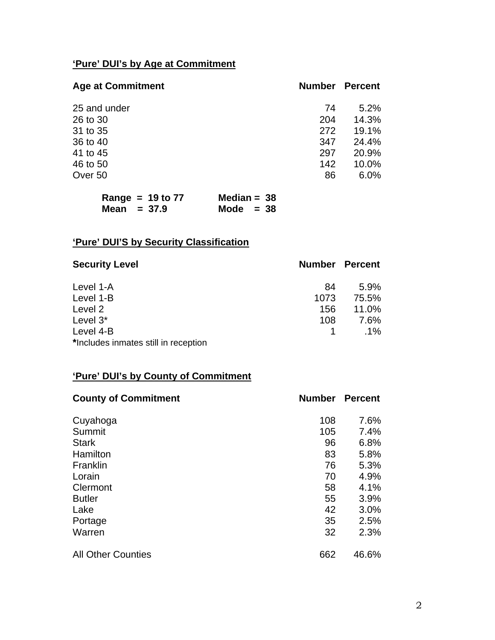# **'Pure' DUI's by Age at Commitment**

| <b>Age at Commitment</b> | <b>Number</b> | <b>Percent</b> |
|--------------------------|---------------|----------------|
| 25 and under             | 74            | 5.2%           |
| 26 to 30                 | 204           | 14.3%          |
| 31 to 35                 | 272           | 19.1%          |
| 36 to 40                 | 347           | 24.4%          |
| 41 to 45                 | 297           | 20.9%          |
| 46 to 50                 | 142           | 10.0%          |
| Over 50                  | 86            | 6.0%           |
|                          |               |                |

| Range = $19$ to $77$ | Median = $38$ |
|----------------------|---------------|
| Mean $= 37.9$        | Mode $= 38$   |

# **'Pure' DUI'S by Security Classification**

| <b>Security Level</b>                | <b>Number Percent</b> |        |
|--------------------------------------|-----------------------|--------|
| Level 1-A                            | 84                    | 5.9%   |
| Level 1-B                            | 1073                  | 75.5%  |
| Level 2                              | 156                   | 11.0%  |
| Level 3*                             | 108                   | 7.6%   |
| Level 4-B                            |                       | $.1\%$ |
| *Includes inmates still in reception |                       |        |

# **'Pure' DUI's by County of Commitment**

| <b>County of Commitment</b> | <b>Number</b> | <b>Percent</b> |
|-----------------------------|---------------|----------------|
| Cuyahoga                    | 108           | 7.6%           |
| Summit                      | 105           | 7.4%           |
| <b>Stark</b>                | 96            | 6.8%           |
| Hamilton                    | 83            | 5.8%           |
| Franklin                    | 76            | 5.3%           |
| Lorain                      | 70            | 4.9%           |
| Clermont                    | 58            | 4.1%           |
| <b>Butler</b>               | 55            | 3.9%           |
| Lake                        | 42            | 3.0%           |
| Portage                     | 35            | 2.5%           |
| Warren                      | 32            | 2.3%           |
| <b>All Other Counties</b>   | 662           | 46.6%          |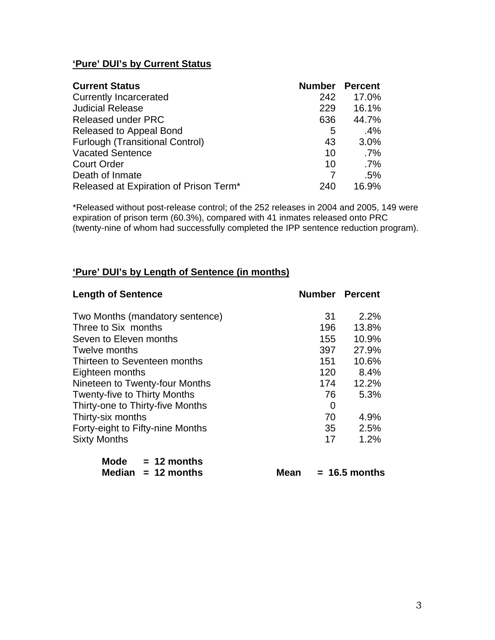## **'Pure' DUI's by Current Status**

| <b>Current Status</b>                  | <b>Number</b> | <b>Percent</b> |
|----------------------------------------|---------------|----------------|
| <b>Currently Incarcerated</b>          | 242           | 17.0%          |
| <b>Judicial Release</b>                | 229           | 16.1%          |
| <b>Released under PRC</b>              | 636           | 44.7%          |
| Released to Appeal Bond                | 5             | $.4\%$         |
| <b>Furlough (Transitional Control)</b> | 43            | 3.0%           |
| <b>Vacated Sentence</b>                | 10            | $.7\%$         |
| <b>Court Order</b>                     | 10            | $.7\%$         |
| Death of Inmate                        |               | .5%            |
| Released at Expiration of Prison Term* | 240           | 16.9%          |

\*Released without post-release control; of the 252 releases in 2004 and 2005, 149 were expiration of prison term (60.3%), compared with 41 inmates released onto PRC (twenty-nine of whom had successfully completed the IPP sentence reduction program).

#### **'Pure' DUI's by Length of Sentence (in months)**

| <b>Length of Sentence</b>           |     | <b>Number Percent</b> |
|-------------------------------------|-----|-----------------------|
| Two Months (mandatory sentence)     | -31 | 2.2%                  |
| Three to Six months                 | 196 | 13.8%                 |
| Seven to Eleven months              | 155 | 10.9%                 |
| Twelve months                       | 397 | 27.9%                 |
| Thirteen to Seventeen months        | 151 | 10.6%                 |
| Eighteen months                     | 120 | 8.4%                  |
| Nineteen to Twenty-four Months      | 174 | 12.2%                 |
| <b>Twenty-five to Thirty Months</b> | 76  | 5.3%                  |
| Thirty-one to Thirty-five Months    | 0   |                       |
| Thirty-six months                   | 70  | 4.9%                  |
| Forty-eight to Fifty-nine Months    | 35  | 2.5%                  |
| <b>Sixty Months</b>                 | 17  | 1.2%                  |
| 48. 41. .                           |     |                       |

| Mode   | $= 12$ months |
|--------|---------------|
| Median | $= 12$ months |

**Mean = 16.5 months**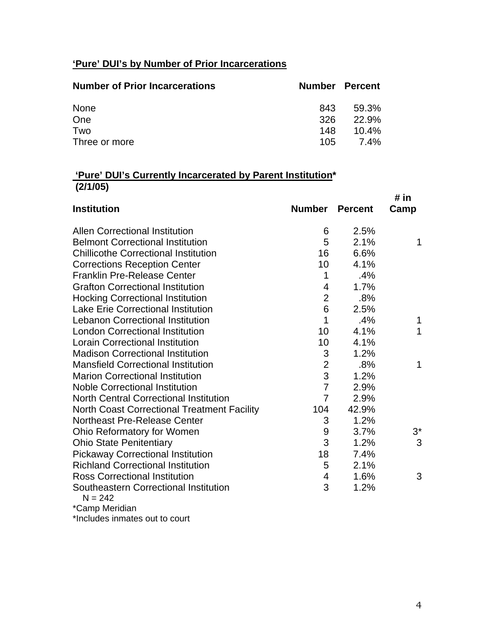## **'Pure' DUI's by Number of Prior Incarcerations**

| <b>Number of Prior Incarcerations</b> | <b>Number Percent</b> |          |
|---------------------------------------|-----------------------|----------|
| <b>None</b>                           | 843                   | 59.3%    |
| One                                   | 326                   | 22.9%    |
| Two                                   | 148                   | $10.4\%$ |
| Three or more                         | 105                   | 7.4%     |

## **'Pure' DUI's Currently Incarcerated by Parent Institution\* (2/1/05)**

|                                                    |                         |                | # in  |
|----------------------------------------------------|-------------------------|----------------|-------|
| <b>Institution</b>                                 | <b>Number</b>           | <b>Percent</b> | Camp  |
| <b>Allen Correctional Institution</b>              | 6                       | 2.5%           |       |
| <b>Belmont Correctional Institution</b>            | 5                       | 2.1%           | 1     |
| <b>Chillicothe Correctional Institution</b>        | 16                      | 6.6%           |       |
| <b>Corrections Reception Center</b>                | 10                      | 4.1%           |       |
| <b>Franklin Pre-Release Center</b>                 | 1                       | .4%            |       |
| <b>Grafton Correctional Institution</b>            | 4                       | 1.7%           |       |
| <b>Hocking Correctional Institution</b>            | $\overline{2}$          | .8%            |       |
| <b>Lake Erie Correctional Institution</b>          | $6\phantom{1}6$         | 2.5%           |       |
| <b>Lebanon Correctional Institution</b>            | 1                       | .4%            | 1     |
| <b>London Correctional Institution</b>             | 10                      | 4.1%           | 1     |
| <b>Lorain Correctional Institution</b>             | 10                      | 4.1%           |       |
| <b>Madison Correctional Institution</b>            | $\mathfrak{B}$          | 1.2%           |       |
| <b>Mansfield Correctional Institution</b>          | $\overline{2}$          | .8%            | 1     |
| <b>Marion Correctional Institution</b>             | 3                       | 1.2%           |       |
| <b>Noble Correctional Institution</b>              | $\overline{7}$          | 2.9%           |       |
| <b>North Central Correctional Institution</b>      | $\overline{7}$          | 2.9%           |       |
| <b>North Coast Correctional Treatment Facility</b> | 104                     | 42.9%          |       |
| <b>Northeast Pre-Release Center</b>                | 3                       | 1.2%           |       |
| Ohio Reformatory for Women                         | $\boldsymbol{9}$        | 3.7%           | $3^*$ |
| <b>Ohio State Penitentiary</b>                     | 3                       | 1.2%           | 3     |
| <b>Pickaway Correctional Institution</b>           | 18                      | 7.4%           |       |
| <b>Richland Correctional Institution</b>           | 5                       | 2.1%           |       |
| <b>Ross Correctional Institution</b>               | $\overline{\mathbf{4}}$ | 1.6%           | 3     |
| Southeastern Correctional Institution<br>$N = 242$ | 3                       | 1.2%           |       |
| *Camp Meridian                                     |                         |                |       |

\*Includes inmates out to court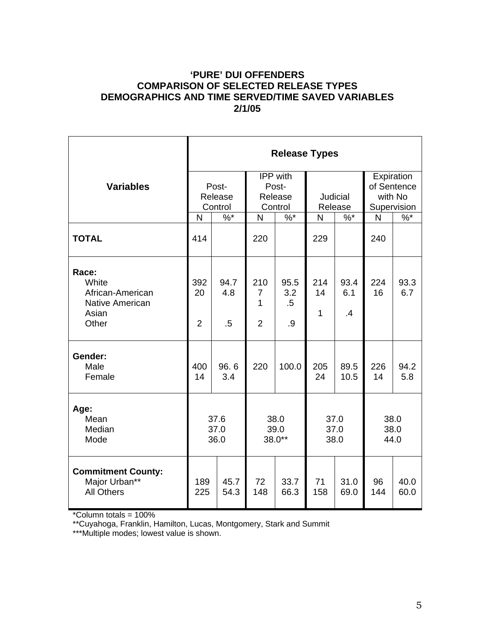## **'PURE' DUI OFFENDERS COMPARISON OF SELECTED RELEASE TYPES DEMOGRAPHICS AND TIME SERVED/TIME SAVED VARIABLES 2/1/05**

|                                                                                | <b>Release Types</b>        |                       |                                              |                             |                      |                        |                                                     |              |
|--------------------------------------------------------------------------------|-----------------------------|-----------------------|----------------------------------------------|-----------------------------|----------------------|------------------------|-----------------------------------------------------|--------------|
| <b>Variables</b>                                                               | Post-<br>Release<br>Control |                       | IPP with<br>Post-<br>Release<br>Control      |                             | Judicial<br>Release  |                        | Expiration<br>of Sentence<br>with No<br>Supervision |              |
|                                                                                | $\%$ *<br>N                 |                       | $\%$ *<br>N                                  |                             | $\%$ $*$<br>N        |                        | N                                                   | $%^*$        |
| <b>TOTAL</b>                                                                   | 414                         |                       | 220                                          |                             | 229                  |                        | 240                                                 |              |
| Race:<br>White<br>African-American<br><b>Native American</b><br>Asian<br>Other | 392<br>20<br>$\overline{2}$ | 94.7<br>4.8<br>$.5\,$ | 210<br>$\overline{7}$<br>1<br>$\overline{2}$ | 95.5<br>3.2<br>$.5\,$<br>.9 | 214<br>14<br>1       | 93.4<br>6.1<br>$\cdot$ | 224<br>16                                           | 93.3<br>6.7  |
| Gender:<br>Male<br>Female                                                      | 400<br>14                   | 96.6<br>3.4           | 220                                          | 100.0                       | 205<br>24            | 89.5<br>10.5           | 226<br>14                                           | 94.2<br>5.8  |
| Age:<br>Mean<br>Median<br>Mode                                                 | 37.6<br>37.0<br>36.0        |                       | 38.0<br>39.0<br>38.0**                       |                             | 37.0<br>37.0<br>38.0 |                        | 38.0<br>38.0<br>44.0                                |              |
| <b>Commitment County:</b><br>Major Urban**<br><b>All Others</b>                | 189<br>225                  | 45.7<br>54.3          | 72<br>148                                    | 33.7<br>66.3                | 71<br>158            | 31.0<br>69.0           | 96<br>144                                           | 40.0<br>60.0 |

\*Column totals = 100%

\*\*Cuyahoga, Franklin, Hamilton, Lucas, Montgomery, Stark and Summit

\*\*\*Multiple modes; lowest value is shown.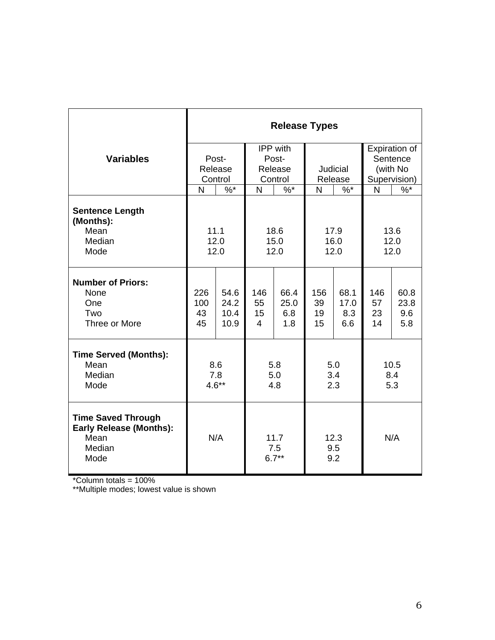|                                                                                       | <b>Release Types</b>   |                              |                                              |                            |                       |                            |                       |                            |  |
|---------------------------------------------------------------------------------------|------------------------|------------------------------|----------------------------------------------|----------------------------|-----------------------|----------------------------|-----------------------|----------------------------|--|
|                                                                                       | IPP with               |                              |                                              |                            |                       | <b>Expiration of</b>       |                       |                            |  |
| <b>Variables</b>                                                                      | Post-                  |                              | Post-                                        |                            |                       |                            |                       | Sentence                   |  |
|                                                                                       | Release                |                              | Release                                      |                            | Judicial              |                            | (with No              |                            |  |
|                                                                                       | Control                |                              | Control                                      |                            | Release               |                            | Supervision)          |                            |  |
|                                                                                       | N                      | $\%$ *                       | N                                            | $%$ *                      | N                     | $%^*$                      | N                     | $\%$                       |  |
| <b>Sentence Length</b><br>(Months):<br>Mean<br>Median<br>Mode                         |                        | 11.1<br>12.0<br>12.0         |                                              | 18.6<br>15.0<br>12.0       | 17.9<br>16.0<br>12.0  |                            | 13.6<br>12.0<br>12.0  |                            |  |
| <b>Number of Priors:</b><br>None<br>One<br>Two<br>Three or More                       | 226<br>100<br>43<br>45 | 54.6<br>24.2<br>10.4<br>10.9 | 146<br>55<br>15<br>$\overline{4}$            | 66.4<br>25.0<br>6.8<br>1.8 | 156<br>39<br>19<br>15 | 68.1<br>17.0<br>8.3<br>6.6 | 146<br>57<br>23<br>14 | 60.8<br>23.8<br>9.6<br>5.8 |  |
| <b>Time Served (Months):</b><br>Mean<br>Median<br>Mode                                | 8.6<br>7.8<br>$4.6**$  |                              | 5.8<br>5.0<br>4.8                            |                            | 5.0<br>3.4<br>2.3     |                            | 10.5<br>8.4<br>5.3    |                            |  |
| <b>Time Saved Through</b><br><b>Early Release (Months):</b><br>Mean<br>Median<br>Mode |                        | N/A                          | 12.3<br>11.7<br>9.5<br>7.5<br>9.2<br>$6.7**$ |                            | N/A                   |                            |                       |                            |  |

\*Column totals = 100%

\*\*Multiple modes; lowest value is shown